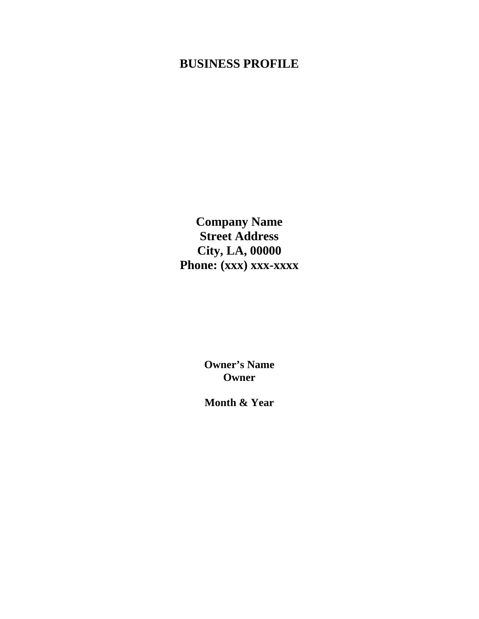# **BUSINESS PROFILE**

**Company Name Street Address City, LA, 00000**  Phone: (xxx) xxx-xxxx

> **Owner's Name Owner**

> **Month & Year**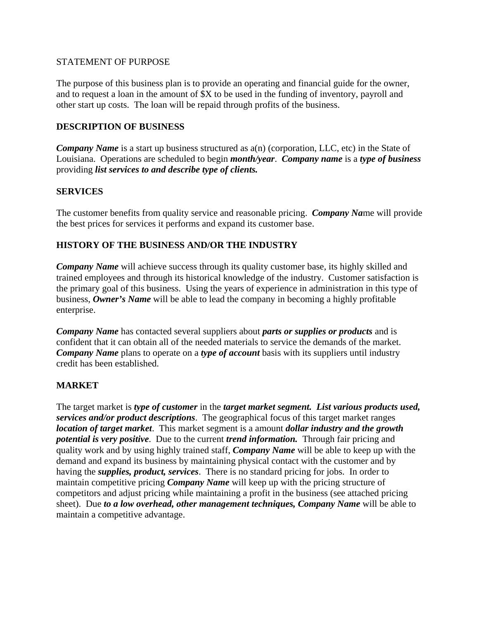#### STATEMENT OF PURPOSE

The purpose of this business plan is to provide an operating and financial guide for the owner, and to request a loan in the amount of \$X to be used in the funding of inventory, payroll and other start up costs. The loan will be repaid through profits of the business.

#### **DESCRIPTION OF BUSINESS**

*Company Name* is a start up business structured as  $a(n)$  (corporation, LLC, etc) in the State of Louisiana. Operations are scheduled to begin *month/year*. *Company name* is a *type of business* providing *list services to and describe type of clients.*

#### **SERVICES**

The customer benefits from quality service and reasonable pricing. *Company Na*me will provide the best prices for services it performs and expand its customer base.

## **HISTORY OF THE BUSINESS AND/OR THE INDUSTRY**

*Company Name* will achieve success through its quality customer base, its highly skilled and trained employees and through its historical knowledge of the industry. Customer satisfaction is the primary goal of this business. Using the years of experience in administration in this type of business, *Owner's Name* will be able to lead the company in becoming a highly profitable enterprise.

*Company Name* has contacted several suppliers about *parts or supplies or products* and is confident that it can obtain all of the needed materials to service the demands of the market. *Company Name* plans to operate on a *type of account* basis with its suppliers until industry credit has been established.

#### **MARKET**

The target market is *type of customer* in the *target market segment. List various products used, services and/or product descriptions*. The geographical focus of this target market ranges *location of target market*. This market segment is a amount *dollar industry and the growth potential is very positive*. Due to the current *trend information.* Through fair pricing and quality work and by using highly trained staff, *Company Name* will be able to keep up with the demand and expand its business by maintaining physical contact with the customer and by having the *supplies, product, services*. There is no standard pricing for jobs. In order to maintain competitive pricing *Company Name* will keep up with the pricing structure of competitors and adjust pricing while maintaining a profit in the business (see attached pricing sheet). Due *to a low overhead, other management techniques, Company Name* will be able to maintain a competitive advantage.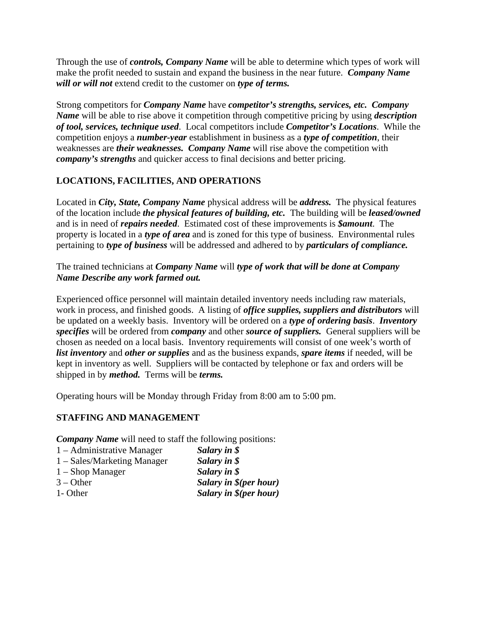Through the use of *controls, Company Name* will be able to determine which types of work will make the profit needed to sustain and expand the business in the near future. *Company Name will or will not* extend credit to the customer on *type of terms.* 

Strong competitors for *Company Name* have *competitor's strengths, services, etc. Company Name* will be able to rise above it competition through competitive pricing by using *description of tool, services, technique used*. Local competitors include *Competitor's Locations*. While the competition enjoys a *number-year* establishment in business as a *type of competition*, their weaknesses are *their weaknesses. Company Name* will rise above the competition with *company's strengths* and quicker access to final decisions and better pricing.

## **LOCATIONS, FACILITIES, AND OPERATIONS**

Located in *City, State, Company Name* physical address will be *address.* The physical features of the location include *the physical features of building, etc.* The building will be *leased/owned* and is in need of *repairs needed*. Estimated cost of these improvements is *\$amount*. The property is located in a *type of area* and is zoned for this type of business. Environmental rules pertaining to *type of business* will be addressed and adhered to by *particulars of compliance.*

## The trained technicians at *Company Name* will *type of work that will be done at Company Name Describe any work farmed out.*

Experienced office personnel will maintain detailed inventory needs including raw materials, work in process, and finished goods. A listing of *office supplies, suppliers and distributors* will be updated on a weekly basis. Inventory will be ordered on a *type of ordering basis*. *Inventory specifies* will be ordered from *company* and other *source of suppliers.* General suppliers will be chosen as needed on a local basis. Inventory requirements will consist of one week's worth of *list inventory* and *other or supplies* and as the business expands, *spare items* if needed, will be kept in inventory as well. Suppliers will be contacted by telephone or fax and orders will be shipped in by *method.* Terms will be *terms.* 

Operating hours will be Monday through Friday from 8:00 am to 5:00 pm.

## **STAFFING AND MANAGEMENT**

*Company Name* will need to staff the following positions:

- 1 Administrative Manager *Salary in \$*  1 – Sales/Marketing Manager *Salary in \$*
- 1 Shop Manager *Salary in \$*
- 3 Other *Salary in \$(per hour)*
- 1- Other *Salary in \$(per hour)*